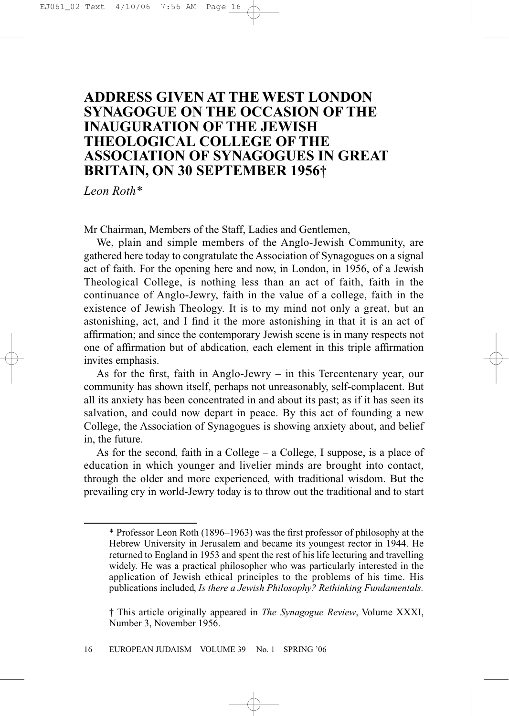# ADDRESS GIVEN AT THE WEST LONDON **SYNAGOGUE ON THE OCCASION OF THE INAUGURATION OF THE JEWISH** THEOLOGICAL COLLEGE OF THE **ASSOCIATION OF SYNAGOGUES IN GREAT BRITAIN, ON 30 SEPTEMBER 1956†**

Leon Roth\*

Mr Chairman, Members of the Staff, Ladies and Gentlemen,

We, plain and simple members of the Anglo-Jewish Community, are gathered here today to congratulate the Association of Synagogues on a signal act of faith. For the opening here and now, in London, in 1956, of a Jewish Theological College, is nothing less than an act of faith, faith in the continuance of Anglo-Jewry, faith in the value of a college, faith in the existence of Jewish Theology. It is to my mind not only a great, but an astonishing, act, and I find it the more astonishing in that it is an act of affirmation; and since the contemporary Jewish scene is in many respects not one of affirmation but of abdication, each element in this triple affirmation invites emphasis.

As for the first, faith in Anglo-Jewry  $-$  in this Tercentenary year, our community has shown itself, perhaps not unreasonably, self-complacent. But all its anxiety has been concentrated in and about its past; as if it has seen its salvation, and could now depart in peace. By this act of founding a new College, the Association of Synagogues is showing anxiety about, and belief in, the future.

As for the second, faith in a College  $-$  a College, I suppose, is a place of education in which younger and livelier minds are brought into contact, through the older and more experienced, with traditional wisdom. But the prevailing cry in world-Jewry today is to throw out the traditional and to start

<sup>\*</sup> Professor Leon Roth (1896–1963) was the first professor of philosophy at the Hebrew University in Jerusalem and became its youngest rector in 1944. He returned to England in 1953 and spent the rest of his life lecturing and travelling widely. He was a practical philosopher who was particularly interested in the application of Jewish ethical principles to the problems of his time. His publications included, Is there a Jewish Philosophy? Rethinking Fundamentals.

<sup>†</sup> This article originally appeared in The Synagogue Review, Volume XXXI, Number 3, November 1956.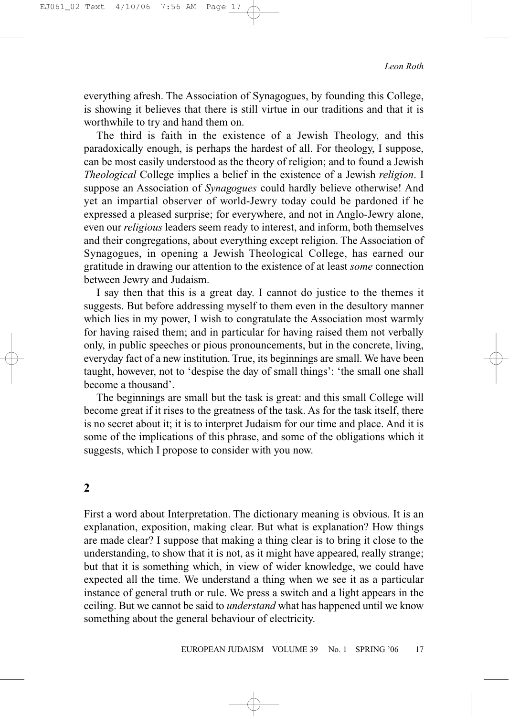everything afresh. The Association of Synagogues, by founding this College, is showing it believes that there is still virtue in our traditions and that it is worthwhile to try and hand them on.

The third is faith in the existence of a Jewish Theology, and this paradoxically enough, is perhaps the hardest of all. For theology, I suppose, can be most easily understood as the theory of religion; and to found a Jewish Theological College implies a belief in the existence of a Jewish religion. I suppose an Association of Synagogues could hardly believe otherwise! And yet an impartial observer of world-Jewry today could be pardoned if he expressed a pleased surprise; for everywhere, and not in Anglo-Jewry alone, even our *religious* leaders seem ready to interest, and inform, both themselves and their congregations, about everything except religion. The Association of Synagogues, in opening a Jewish Theological College, has earned our gratitude in drawing our attention to the existence of at least *some* connection between Jewry and Judaism.

I say then that this is a great day. I cannot do justice to the themes it suggests. But before addressing myself to them even in the desultory manner which lies in my power, I wish to congratulate the Association most warmly for having raised them; and in particular for having raised them not verbally only, in public speeches or pious pronouncements, but in the concrete, living, everyday fact of a new institution. True, its beginnings are small. We have been taught, however, not to 'despise the day of small things': 'the small one shall become a thousand'

The beginnings are small but the task is great: and this small College will become great if it rises to the greatness of the task. As for the task itself, there is no secret about it; it is to interpret Judaism for our time and place. And it is some of the implications of this phrase, and some of the obligations which it suggests, which I propose to consider with you now.

### $\mathbf{2}$

First a word about Interpretation. The dictionary meaning is obvious. It is an explanation, exposition, making clear. But what is explanation? How things are made clear? I suppose that making a thing clear is to bring it close to the understanding, to show that it is not, as it might have appeared, really strange; but that it is something which, in view of wider knowledge, we could have expected all the time. We understand a thing when we see it as a particular instance of general truth or rule. We press a switch and a light appears in the ceiling. But we cannot be said to *understand* what has happened until we know something about the general behaviour of electricity.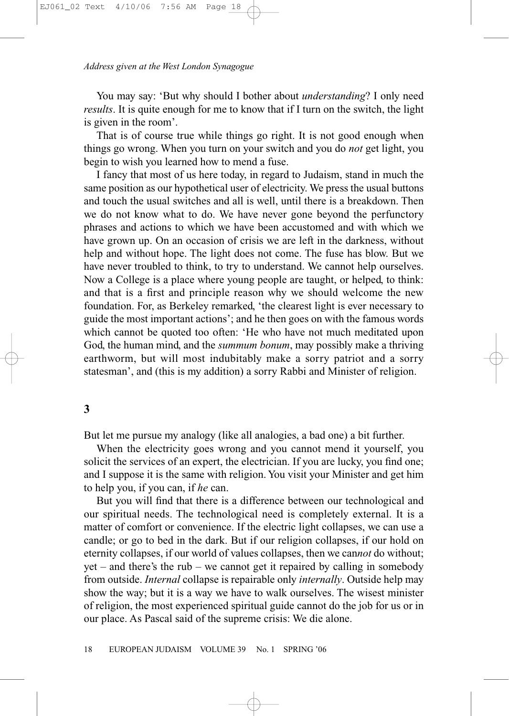You may say: 'But why should I bother about understanding? I only need results. It is quite enough for me to know that if I turn on the switch, the light is given in the room'.

That is of course true while things go right. It is not good enough when things go wrong. When you turn on your switch and you do not get light, you begin to wish you learned how to mend a fuse.

I fancy that most of us here today, in regard to Judaism, stand in much the same position as our hypothetical user of electricity. We press the usual buttons and touch the usual switches and all is well, until there is a breakdown. Then we do not know what to do. We have never gone beyond the perfunctory phrases and actions to which we have been accustomed and with which we have grown up. On an occasion of crisis we are left in the darkness, without help and without hope. The light does not come. The fuse has blow. But we have never troubled to think, to try to understand. We cannot help ourselves. Now a College is a place where young people are taught, or helped, to think: and that is a first and principle reason why we should welcome the new foundation. For, as Berkeley remarked, 'the clearest light is ever necessary to guide the most important actions'; and he then goes on with the famous words which cannot be quoted too often: 'He who have not much meditated upon God, the human mind, and the *summum bonum*, may possibly make a thriving earthworm, but will most indubitably make a sorry patriot and a sorry statesman', and (this is my addition) a sorry Rabbi and Minister of religion.

### 3

But let me pursue my analogy (like all analogies, a bad one) a bit further.

When the electricity goes wrong and you cannot mend it yourself, you solicit the services of an expert, the electrician. If you are lucky, you find one; and I suppose it is the same with religion. You visit your Minister and get him to help you, if you can, if he can.

But you will find that there is a difference between our technological and our spiritual needs. The technological need is completely external. It is a matter of comfort or convenience. If the electric light collapses, we can use a candle; or go to bed in the dark. But if our religion collapses, if our hold on eternity collapses, if our world of values collapses, then we cannot do without;  $yet - and there's the rub - we cannot get it repaired by calling in somebody$ from outside. *Internal* collapse is repairable only *internally*. Outside help may show the way; but it is a way we have to walk ourselves. The wisest minister of religion, the most experienced spiritual guide cannot do the job for us or in our place. As Pascal said of the supreme crisis: We die alone.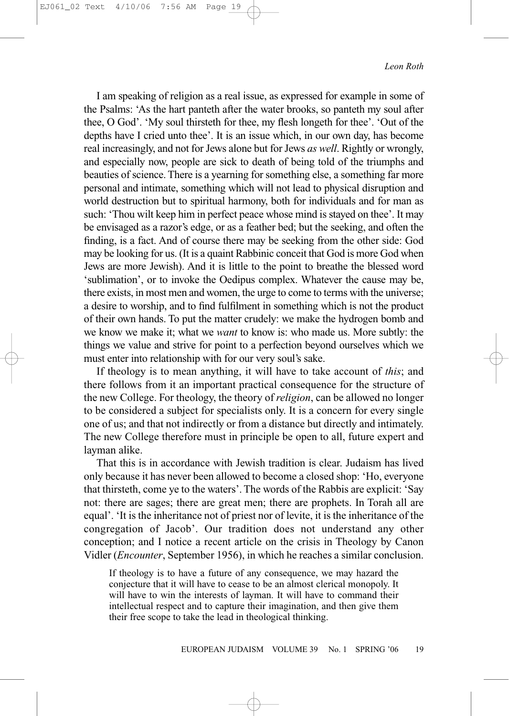I am speaking of religion as a real issue, as expressed for example in some of the Psalms: 'As the hart panteth after the water brooks, so panteth my soul after thee, O God'. 'My soul thirsteth for thee, my flesh longeth for thee'. 'Out of the depths have I cried unto thee'. It is an issue which, in our own day, has become real increasingly, and not for Jews alone but for Jews as well. Rightly or wrongly, and especially now, people are sick to death of being told of the triumphs and beauties of science. There is a yearning for something else, a something far more personal and intimate, something which will not lead to physical disruption and world destruction but to spiritual harmony, both for individuals and for man as such: 'Thou wilt keep him in perfect peace whose mind is stayed on thee'. It may be envisaged as a razor's edge, or as a feather bed; but the seeking, and often the finding, is a fact. And of course there may be seeking from the other side: God may be looking for us. (It is a quaint Rabbinic conceit that God is more God when Jews are more Jewish). And it is little to the point to breathe the blessed word 'sublimation', or to invoke the Oedipus complex. Whatever the cause may be, there exists, in most men and women, the urge to come to terms with the universe; a desire to worship, and to find fulfilment in something which is not the product of their own hands. To put the matter crudely: we make the hydrogen bomb and we know we make it; what we want to know is: who made us. More subtly: the things we value and strive for point to a perfection beyond ourselves which we must enter into relationship with for our very soul's sake.

If theology is to mean anything, it will have to take account of this; and there follows from it an important practical consequence for the structure of the new College. For theology, the theory of *religion*, can be allowed no longer to be considered a subject for specialists only. It is a concern for every single one of us; and that not indirectly or from a distance but directly and intimately. The new College therefore must in principle be open to all, future expert and layman alike.

That this is in accordance with Jewish tradition is clear. Judaism has lived only because it has never been allowed to become a closed shop: 'Ho, everyone that thirsteth, come ye to the waters'. The words of the Rabbis are explicit: 'Say not: there are sages; there are great men; there are prophets. In Torah all are equal'. 'It is the inheritance not of priest nor of levite, it is the inheritance of the congregation of Jacob'. Our tradition does not understand any other conception; and I notice a recent article on the crisis in Theology by Canon Vidler (Encounter, September 1956), in which he reaches a similar conclusion.

If theology is to have a future of any consequence, we may hazard the conjecture that it will have to cease to be an almost clerical monopoly. It will have to win the interests of layman. It will have to command their intellectual respect and to capture their imagination, and then give them their free scope to take the lead in theological thinking.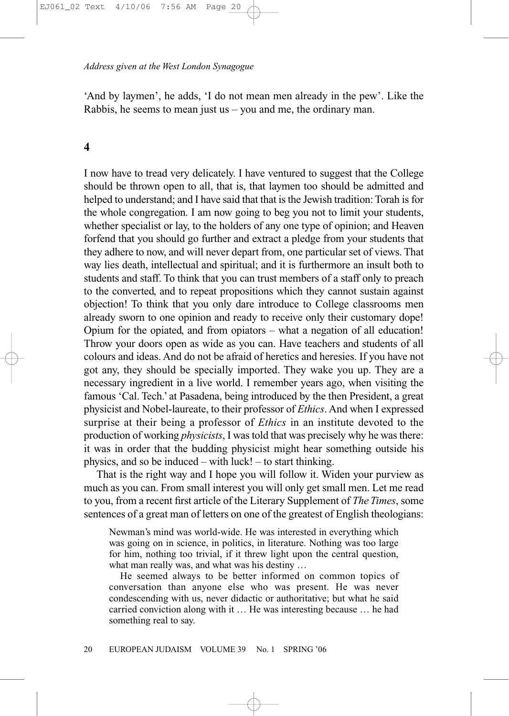#### Address given at the West London Synagogue

'And by laymen', he adds, 'I do not mean men already in the pew'. Like the Rabbis, he seems to mean just us  $-$  you and me, the ordinary man.

### $\overline{\mathbf{4}}$

I now have to tread very delicately. I have ventured to suggest that the College should be thrown open to all, that is, that laymen too should be admitted and helped to understand; and I have said that that is the Jewish tradition: Torah is for the whole congregation. I am now going to beg you not to limit your students, whether specialist or lay, to the holders of any one type of opinion; and Heaven forfend that you should go further and extract a pledge from your students that they adhere to now, and will never depart from, one particular set of views. That way lies death, intellectual and spiritual; and it is furthermore an insult both to students and staff. To think that you can trust members of a staff only to preach to the converted, and to repeat propositions which they cannot sustain against objection! To think that you only dare introduce to College classrooms men already sworn to one opinion and ready to receive only their customary dope! Opium for the opiated, and from opiators – what a negation of all education! Throw your doors open as wide as you can. Have teachers and students of all colours and ideas. And do not be afraid of heretics and heresies. If you have not got any, they should be specially imported. They wake you up. They are a necessary ingredient in a live world. I remember years ago, when visiting the famous 'Cal. Tech.' at Pasadena, being introduced by the then President, a great physicist and Nobel-laureate, to their professor of Ethics. And when I expressed surprise at their being a professor of *Ethics* in an institute devoted to the production of working *physicists*, I was told that was precisely why he was there: it was in order that the budding physicist might hear something outside his physics, and so be induced – with  $luck!$  – to start thinking.

That is the right way and I hope you will follow it. Widen your purview as much as you can. From small interest you will only get small men. Let me read to you, from a recent first article of the Literary Supplement of The Times, some sentences of a great man of letters on one of the greatest of English theologians:

Newman's mind was world-wide. He was interested in everything which was going on in science, in politics, in literature. Nothing was too large for him, nothing too trivial, if it threw light upon the central question, what man really was, and what was his destiny ...

He seemed always to be better informed on common topics of conversation than anyone else who was present. He was never condescending with us, never didactic or authoritative; but what he said carried conviction along with it ... He was interesting because ... he had something real to say.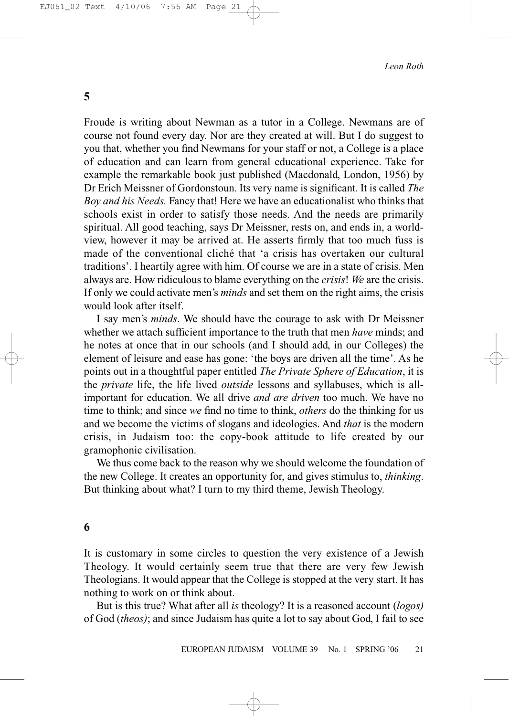Froude is writing about Newman as a tutor in a College. Newmans are of course not found every day. Nor are they created at will. But I do suggest to you that, whether you find Newmans for your staff or not, a College is a place of education and can learn from general educational experience. Take for example the remarkable book just published (Macdonald, London, 1956) by Dr Erich Meissner of Gordonstoun. Its very name is significant. It is called The Boy and his Needs. Fancy that! Here we have an educationalist who thinks that schools exist in order to satisfy those needs. And the needs are primarily spiritual. All good teaching, says Dr Meissner, rests on, and ends in, a worldview, however it may be arrived at. He asserts firmly that too much fuss is made of the conventional cliché that 'a crisis has overtaken our cultural traditions'. I heartily agree with him. Of course we are in a state of crisis. Men always are. How ridiculous to blame everything on the *crisis! We* are the crisis. If only we could activate men's *minds* and set them on the right aims, the crisis would look after itself.

I say men's *minds*. We should have the courage to ask with Dr Meissner whether we attach sufficient importance to the truth that men have minds; and he notes at once that in our schools (and I should add, in our Colleges) the element of leisure and ease has gone: 'the boys are driven all the time'. As he points out in a thoughtful paper entitled The Private Sphere of Education, it is the private life, the life lived outside lessons and syllabuses, which is allimportant for education. We all drive *and are driven* too much. We have no time to think; and since we find no time to think, *others* do the thinking for us and we become the victims of slogans and ideologies. And *that* is the modern crisis, in Judaism too: the copy-book attitude to life created by our gramophonic civilisation.

We thus come back to the reason why we should welcome the foundation of the new College. It creates an opportunity for, and gives stimulus to, *thinking*. But thinking about what? I turn to my third theme, Jewish Theology.

# 6

It is customary in some circles to question the very existence of a Jewish Theology. It would certainly seem true that there are very few Jewish Theologians. It would appear that the College is stopped at the very start. It has nothing to work on or think about.

But is this true? What after all is theology? It is a reasoned account (logos) of God (theos); and since Judaism has quite a lot to say about God, I fail to see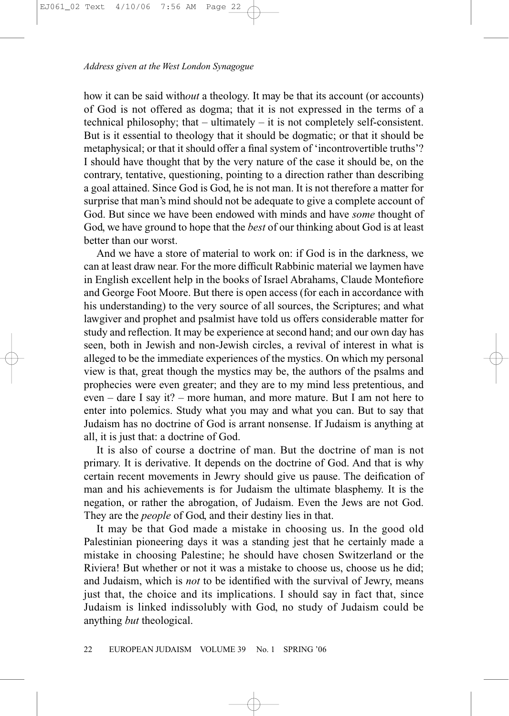how it can be said without a theology. It may be that its account (or accounts) of God is not offered as dogma; that it is not expressed in the terms of a technical philosophy; that  $-$  ultimately  $-$  it is not completely self-consistent. But is it essential to theology that it should be dogmatic; or that it should be metaphysical; or that it should offer a final system of 'incontrovertible truths'? I should have thought that by the very nature of the case it should be, on the contrary, tentative, questioning, pointing to a direction rather than describing a goal attained. Since God is God, he is not man. It is not therefore a matter for surprise that man's mind should not be adequate to give a complete account of God. But since we have been endowed with minds and have some thought of God, we have ground to hope that the *best* of our thinking about God is at least better than our worst.

And we have a store of material to work on: if God is in the darkness, we can at least draw near. For the more difficult Rabbinic material we laymen have in English excellent help in the books of Israel Abrahams, Claude Montefiore and George Foot Moore. But there is open access (for each in accordance with his understanding) to the very source of all sources, the Scriptures; and what lawgiver and prophet and psalmist have told us offers considerable matter for study and reflection. It may be experience at second hand; and our own day has seen, both in Jewish and non-Jewish circles, a revival of interest in what is alleged to be the immediate experiences of the mystics. On which my personal view is that, great though the mystics may be, the authors of the psalms and prophecies were even greater; and they are to my mind less pretentious, and even – dare I say it? – more human, and more mature. But I am not here to enter into polemics. Study what you may and what you can. But to say that Judaism has no doctrine of God is arrant nonsense. If Judaism is anything at all, it is just that: a doctrine of God.

It is also of course a doctrine of man. But the doctrine of man is not primary. It is derivative. It depends on the doctrine of God. And that is why certain recent movements in Jewry should give us pause. The deification of man and his achievements is for Judaism the ultimate blasphemy. It is the negation, or rather the abrogation, of Judaism. Even the Jews are not God. They are the *people* of God, and their destiny lies in that.

It may be that God made a mistake in choosing us. In the good old Palestinian pioneering days it was a standing jest that he certainly made a mistake in choosing Palestine; he should have chosen Switzerland or the Riviera! But whether or not it was a mistake to choose us, choose us he did; and Judaism, which is *not* to be identified with the survival of Jewry, means just that, the choice and its implications. I should say in fact that, since Judaism is linked indissolubly with God, no study of Judaism could be anything but theological.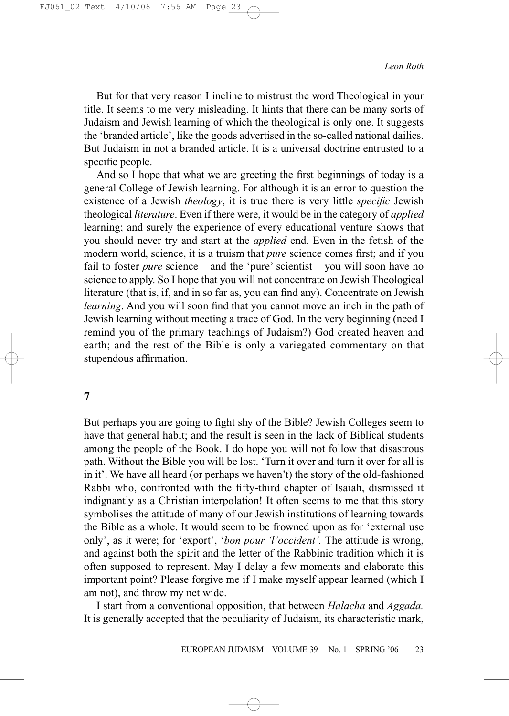But for that very reason I incline to mistrust the word Theological in your title. It seems to me very misleading. It hints that there can be many sorts of Judaism and Jewish learning of which the theological is only one. It suggests the 'branded article', like the goods advertised in the so-called national dailies. But Judaism in not a branded article. It is a universal doctrine entrusted to a specific people.

And so I hope that what we are greeting the first beginnings of today is a general College of Jewish learning. For although it is an error to question the existence of a Jewish theology, it is true there is very little specific Jewish theological literature. Even if there were, it would be in the category of applied learning; and surely the experience of every educational venture shows that you should never try and start at the *applied* end. Even in the fetish of the modern world, science, it is a truism that *pure* science comes first; and if you fail to foster *pure* science – and the 'pure' scientist – you will soon have no science to apply. So I hope that you will not concentrate on Jewish Theological literature (that is, if, and in so far as, you can find any). Concentrate on Jewish *learning*. And you will soon find that you cannot move an inch in the path of Jewish learning without meeting a trace of God. In the very beginning (need I remind you of the primary teachings of Judaism?) God created heaven and earth; and the rest of the Bible is only a variegated commentary on that stupendous affirmation.

# $\overline{7}$

But perhaps you are going to fight shy of the Bible? Jewish Colleges seem to have that general habit; and the result is seen in the lack of Biblical students among the people of the Book. I do hope you will not follow that disastrous path. Without the Bible you will be lost. 'Turn it over and turn it over for all is in it'. We have all heard (or perhaps we haven't) the story of the old-fashioned Rabbi who, confronted with the fifty-third chapter of Isaiah, dismissed it indignantly as a Christian interpolation! It often seems to me that this story symbolises the attitude of many of our Jewish institutions of learning towards the Bible as a whole. It would seem to be frowned upon as for 'external use only', as it were; for 'export', 'bon pour 'l'occident'. The attitude is wrong, and against both the spirit and the letter of the Rabbinic tradition which it is often supposed to represent. May I delay a few moments and elaborate this important point? Please forgive me if I make myself appear learned (which I am not), and throw my net wide.

I start from a conventional opposition, that between Halacha and Aggada. It is generally accepted that the peculiarity of Judaism, its characteristic mark,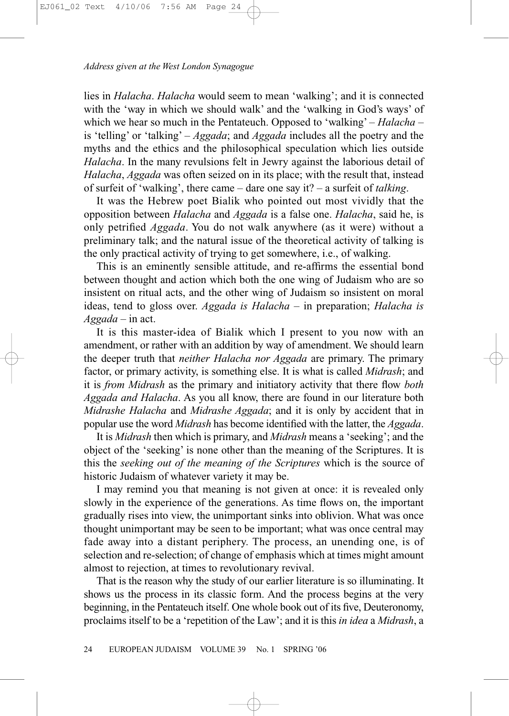lies in Halacha. Halacha would seem to mean 'walking'; and it is connected with the 'way in which we should walk' and the 'walking in God's ways' of which we hear so much in the Pentateuch. Opposed to 'walking' –  $Halacha$  – is 'telling' or 'talking'  $-Aggada$ ; and  $Aggada$  includes all the poetry and the myths and the ethics and the philosophical speculation which lies outside Halacha. In the many revulsions felt in Jewry against the laborious detail of Halacha, Aggada was often seized on in its place; with the result that, instead of surfeit of 'walking', there came – dare one say it? – a surfeit of *talking*.

It was the Hebrew poet Bialik who pointed out most vividly that the opposition between Halacha and Aggada is a false one. Halacha, said he, is only petrified *Aggada*. You do not walk anywhere (as it were) without a preliminary talk; and the natural issue of the theoretical activity of talking is the only practical activity of trying to get somewhere, i.e., of walking.

This is an eminently sensible attitude, and re-affirms the essential bond between thought and action which both the one wing of Judaism who are so insistent on ritual acts, and the other wing of Judaism so insistent on moral ideas, tend to gloss over. Aggada is Halacha  $-$  in preparation; Halacha is  $Aggada$  – in act.

It is this master-idea of Bialik which I present to you now with an amendment, or rather with an addition by way of amendment. We should learn the deeper truth that *neither Halacha nor Aggada* are primary. The primary factor, or primary activity, is something else. It is what is called *Midrash*; and it is *from Midrash* as the primary and initiatory activity that there flow both Aggada and Halacha. As you all know, there are found in our literature both Midrashe Halacha and Midrashe Aggada; and it is only by accident that in popular use the word *Midrash* has become identified with the latter, the *Aggada*.

It is *Midrash* then which is primary, and *Midrash* means a 'seeking'; and the object of the 'seeking' is none other than the meaning of the Scriptures. It is this the seeking out of the meaning of the Scriptures which is the source of historic Judaism of whatever variety it may be.

I may remind you that meaning is not given at once: it is revealed only slowly in the experience of the generations. As time flows on, the important gradually rises into view, the unimportant sinks into oblivion. What was once thought unimportant may be seen to be important; what was once central may fade away into a distant periphery. The process, an unending one, is of selection and re-selection; of change of emphasis which at times might amount almost to rejection, at times to revolutionary revival.

That is the reason why the study of our earlier literature is so illuminating. It shows us the process in its classic form. And the process begins at the very beginning, in the Pentateuch itself. One whole book out of its five, Deuteronomy, proclaims itself to be a 'repetition of the Law'; and it is this in idea a Midrash, a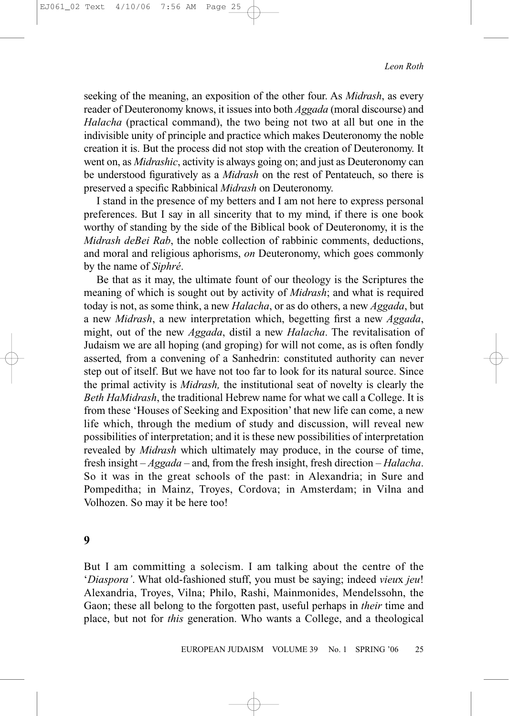seeking of the meaning, an exposition of the other four. As Midrash, as every reader of Deuteronomy knows, it issues into both *Aggada* (moral discourse) and Halacha (practical command), the two being not two at all but one in the indivisible unity of principle and practice which makes Deuteronomy the noble creation it is. But the process did not stop with the creation of Deuteronomy. It went on, as *Midrashic*, activity is always going on; and just as Deuteronomy can be understood figuratively as a Midrash on the rest of Pentateuch, so there is preserved a specific Rabbinical Midrash on Deuteronomy.

I stand in the presence of my betters and I am not here to express personal preferences. But I say in all sincerity that to my mind, if there is one book worthy of standing by the side of the Biblical book of Deuteronomy, it is the Midrash deBei Rab, the noble collection of rabbinic comments, deductions, and moral and religious aphorisms, on Deuteronomy, which goes commonly by the name of Siphré.

Be that as it may, the ultimate fount of our theology is the Scriptures the meaning of which is sought out by activity of *Midrash*; and what is required today is not, as some think, a new *Halacha*, or as do others, a new *Aggada*, but a new Midrash, a new interpretation which, begetting first a new Aggada, might, out of the new Aggada, distil a new Halacha. The revitalisation of Judaism we are all hoping (and groping) for will not come, as is often fondly asserted, from a convening of a Sanhedrin: constituted authority can never step out of itself. But we have not too far to look for its natural source. Since the primal activity is *Midrash*, the institutional seat of novelty is clearly the Beth HaMidrash, the traditional Hebrew name for what we call a College. It is from these 'Houses of Seeking and Exposition' that new life can come, a new life which, through the medium of study and discussion, will reveal new possibilities of interpretation; and it is these new possibilities of interpretation revealed by *Midrash* which ultimately may produce, in the course of time, fresh insight  $-Aggada$  – and, from the fresh insight, fresh direction – Halacha. So it was in the great schools of the past: in Alexandria; in Sure and Pompeditha; in Mainz, Troyes, Cordova; in Amsterdam; in Vilna and Volhozen. So may it be here too!

 $\boldsymbol{9}$ 

But I am committing a solecism. I am talking about the centre of the 'Diaspora'. What old-fashioned stuff, you must be saying; indeed vieux jeu! Alexandria, Troyes, Vilna; Philo, Rashi, Mainmonides, Mendelssohn, the Gaon; these all belong to the forgotten past, useful perhaps in their time and place, but not for this generation. Who wants a College, and a theological